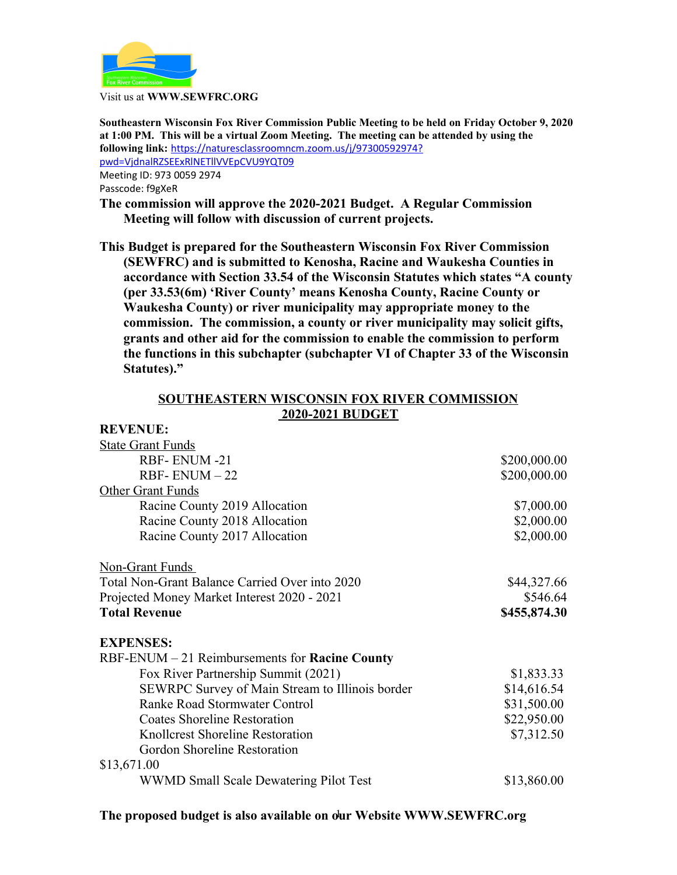

Visit us at **WWW.SEWFRC.ORG**

**Southeastern Wisconsin Fox River Commission Public Meeting to be held on Friday October 9, 2020 at 1:00 PM. This will be a virtual Zoom Meeting. The meeting can be attended by using the following link:** [https://naturesclassroomncm.zoom.us/j/97300592974?](https://naturesclassroomncm.zoom.us/j/97300592974?pwd=VjdnalRZSEExRlNETllVVEpCVU9YQT09) [pwd=VjdnalRZSEExRlNETllVVEpCVU9YQT09](https://naturesclassroomncm.zoom.us/j/97300592974?pwd=VjdnalRZSEExRlNETllVVEpCVU9YQT09) Meeting ID: 973 0059 2974

Passcode: f9gXeR

**REVENUE:**

**The commission will approve the 2020-2021 Budget. A Regular Commission Meeting will follow with discussion of current projects.**

**This Budget is prepared for the Southeastern Wisconsin Fox River Commission (SEWFRC) and is submitted to Kenosha, Racine and Waukesha Counties in accordance with Section 33.54 of the Wisconsin Statutes which states "A county (per 33.53(6m) 'River County' means Kenosha County, Racine County or Waukesha County) or river municipality may appropriate money to the commission. The commission, a county or river municipality may solicit gifts, grants and other aid for the commission to enable the commission to perform the functions in this subchapter (subchapter VI of Chapter 33 of the Wisconsin Statutes)."**

## **SOUTHEASTERN WISCONSIN FOX RIVER COMMISSION 2020-2021 BUDGET**

| \$200,000.00 |
|--------------|
| \$200,000.00 |
|              |
| \$7,000.00   |
| \$2,000.00   |
| \$2,000.00   |
|              |
| \$44,327.66  |
| \$546.64     |
| \$455,874.30 |
|              |
|              |
| \$1,833.33   |
| \$14,616.54  |
| \$31,500.00  |
| \$22,950.00  |
| \$7,312.50   |
|              |
|              |
| \$13,860.00  |
|              |

## **The proposed budget is also available on our Website WWW.SEWFRC.org** 1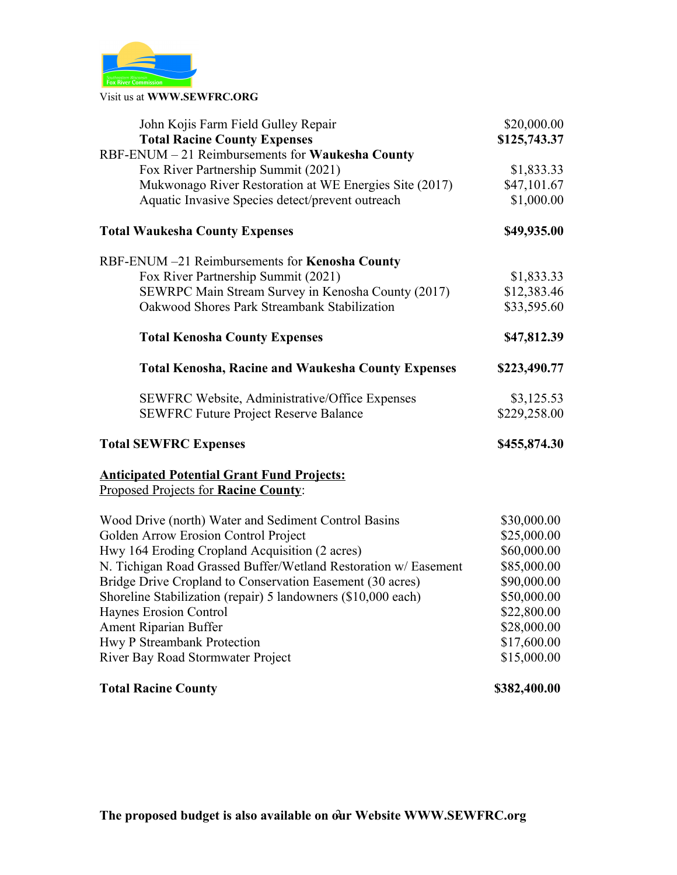

Visit us at **WWW.SEWFRC.ORG**

| John Kojis Farm Field Gulley Repair                             | \$20,000.00  |
|-----------------------------------------------------------------|--------------|
| <b>Total Racine County Expenses</b>                             | \$125,743.37 |
| RBF-ENUM - 21 Reimbursements for Waukesha County                |              |
| Fox River Partnership Summit (2021)                             | \$1,833.33   |
| Mukwonago River Restoration at WE Energies Site (2017)          | \$47,101.67  |
| Aquatic Invasive Species detect/prevent outreach                | \$1,000.00   |
| <b>Total Waukesha County Expenses</b>                           | \$49,935.00  |
| RBF-ENUM -21 Reimbursements for Kenosha County                  |              |
| Fox River Partnership Summit (2021)                             | \$1,833.33   |
| SEWRPC Main Stream Survey in Kenosha County (2017)              | \$12,383.46  |
| Oakwood Shores Park Streambank Stabilization                    | \$33,595.60  |
| <b>Total Kenosha County Expenses</b>                            | \$47,812.39  |
| <b>Total Kenosha, Racine and Waukesha County Expenses</b>       | \$223,490.77 |
| SEWFRC Website, Administrative/Office Expenses                  | \$3,125.53   |
| <b>SEWFRC Future Project Reserve Balance</b>                    | \$229,258.00 |
| <b>Total SEWFRC Expenses</b>                                    | \$455,874.30 |
| <b>Anticipated Potential Grant Fund Projects:</b>               |              |
| Proposed Projects for Racine County:                            |              |
| Wood Drive (north) Water and Sediment Control Basins            | \$30,000.00  |
| Golden Arrow Erosion Control Project                            | \$25,000.00  |
| Hwy 164 Eroding Cropland Acquisition (2 acres)                  | \$60,000.00  |
| N. Tichigan Road Grassed Buffer/Wetland Restoration w/ Easement | \$85,000.00  |
| Bridge Drive Cropland to Conservation Easement (30 acres)       | \$90,000.00  |
| Shoreline Stabilization (repair) 5 landowners (\$10,000 each)   | \$50,000.00  |
| Haynes Erosion Control                                          | \$22,800.00  |
| Ament Riparian Buffer                                           | \$28,000.00  |
| Hwy P Streambank Protection                                     | \$17,600.00  |
| River Bay Road Stormwater Project                               | \$15,000.00  |
| <b>Total Racine County</b>                                      | \$382,400.00 |